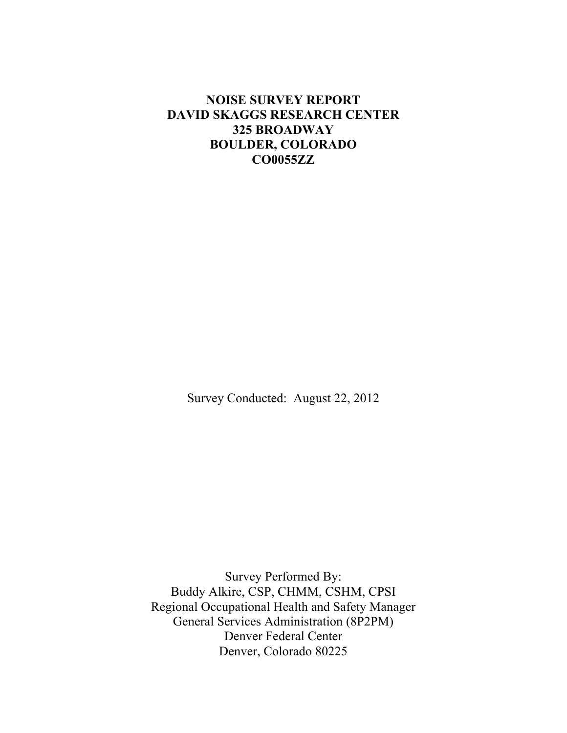## **NOISE SURVEY REPORT DAVID SKAGGS RESEARCH CENTER 325 BROADWAY BOULDER, COLORADO CO0055ZZ**

Survey Conducted: August 22, 2012

Survey Performed By: Buddy Alkire, CSP, CHMM, CSHM, CPSI Regional Occupational Health and Safety Manager General Services Administration (8P2PM) Denver Federal Center Denver, Colorado 80225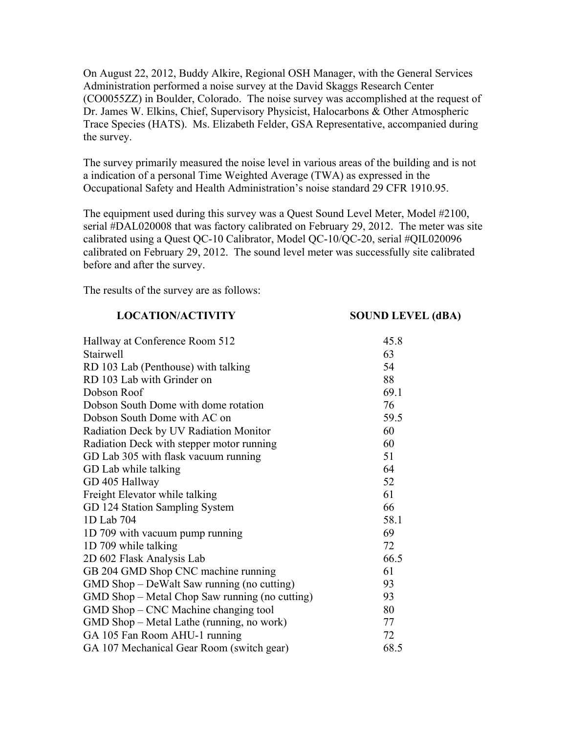On August 22, 2012, Buddy Alkire, Regional OSH Manager, with the General Services Administration performed a noise survey at the David Skaggs Research Center (CO0055ZZ) in Boulder, Colorado. The noise survey was accomplished at the request of Dr. James W. Elkins, Chief, Supervisory Physicist, Halocarbons & Other Atmospheric Trace Species (HATS). Ms. Elizabeth Felder, GSA Representative, accompanied during the survey.

The survey primarily measured the noise level in various areas of the building and is not a indication of a personal Time Weighted Average (TWA) as expressed in the Occupational Safety and Health Administration's noise standard 29 CFR 1910.95.

The equipment used during this survey was a Quest Sound Level Meter, Model #2100, serial #DAL020008 that was factory calibrated on February 29, 2012. The meter was site calibrated using a Quest QC-10 Calibrator, Model QC-10/QC-20, serial #QIL020096 calibrated on February 29, 2012. The sound level meter was successfully site calibrated before and after the survey.

The results of the survey are as follows:

## **LOCATION/ACTIVITY SOUND LEVEL (dBA)**

| Hallway at Conference Room 512                 | 45.8 |
|------------------------------------------------|------|
| Stairwell                                      | 63   |
| RD 103 Lab (Penthouse) with talking            | 54   |
| RD 103 Lab with Grinder on                     | 88   |
| Dobson Roof                                    | 69.1 |
| Dobson South Dome with dome rotation           | 76   |
| Dobson South Dome with AC on                   | 59.5 |
| Radiation Deck by UV Radiation Monitor         | 60   |
| Radiation Deck with stepper motor running      | 60   |
| GD Lab 305 with flask vacuum running           | 51   |
| GD Lab while talking                           | 64   |
| GD 405 Hallway                                 | 52   |
| Freight Elevator while talking                 | 61   |
| GD 124 Station Sampling System                 | 66   |
| 1D Lab 704                                     | 58.1 |
| 1D 709 with vacuum pump running                | 69   |
| 1D 709 while talking                           | 72   |
| 2D 602 Flask Analysis Lab                      | 66.5 |
| GB 204 GMD Shop CNC machine running            | 61   |
| GMD Shop – DeWalt Saw running (no cutting)     | 93   |
| GMD Shop – Metal Chop Saw running (no cutting) | 93   |
| GMD Shop – CNC Machine changing tool           | 80   |
| GMD Shop – Metal Lathe (running, no work)      | 77   |
| GA 105 Fan Room AHU-1 running                  | 72   |
| GA 107 Mechanical Gear Room (switch gear)      | 68.5 |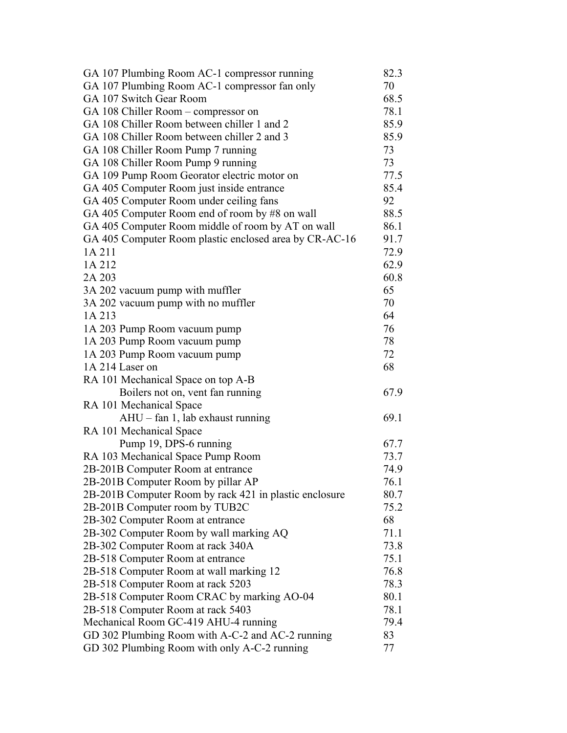| GA 107 Plumbing Room AC-1 compressor running           | 82.3 |
|--------------------------------------------------------|------|
| GA 107 Plumbing Room AC-1 compressor fan only          | 70   |
| GA 107 Switch Gear Room                                | 68.5 |
| GA 108 Chiller Room - compressor on                    | 78.1 |
| GA 108 Chiller Room between chiller 1 and 2            | 85.9 |
| GA 108 Chiller Room between chiller 2 and 3            | 85.9 |
| GA 108 Chiller Room Pump 7 running                     | 73   |
| GA 108 Chiller Room Pump 9 running                     | 73   |
| GA 109 Pump Room Georator electric motor on            | 77.5 |
| GA 405 Computer Room just inside entrance              | 85.4 |
| GA 405 Computer Room under ceiling fans                | 92   |
| GA 405 Computer Room end of room by #8 on wall         | 88.5 |
| GA 405 Computer Room middle of room by AT on wall      | 86.1 |
| GA 405 Computer Room plastic enclosed area by CR-AC-16 | 91.7 |
| 1A 211                                                 | 72.9 |
| 1A 212                                                 | 62.9 |
| 2A 203                                                 | 60.8 |
| 3A 202 vacuum pump with muffler                        | 65   |
| 3A 202 vacuum pump with no muffler                     | 70   |
| 1A 213                                                 | 64   |
| 1A 203 Pump Room vacuum pump                           | 76   |
| 1A 203 Pump Room vacuum pump                           | 78   |
| 1A 203 Pump Room vacuum pump                           | 72   |
| 1A 214 Laser on                                        | 68   |
| RA 101 Mechanical Space on top A-B                     |      |
| Boilers not on, vent fan running                       | 67.9 |
| RA 101 Mechanical Space                                |      |
| AHU - fan 1, lab exhaust running                       | 69.1 |
| RA 101 Mechanical Space                                |      |
| Pump 19, DPS-6 running                                 | 67.7 |
| RA 103 Mechanical Space Pump Room                      | 73.7 |
| 2B-201B Computer Room at entrance                      | 74.9 |
| 2B-201B Computer Room by pillar AP                     | 76.1 |
| 2B-201B Computer Room by rack 421 in plastic enclosure | 80.7 |
| 2B-201B Computer room by TUB2C                         | 75.2 |
| 2B-302 Computer Room at entrance                       | 68   |
| 2B-302 Computer Room by wall marking AQ                | 71.1 |
| 2B-302 Computer Room at rack 340A                      | 73.8 |
| 2B-518 Computer Room at entrance                       | 75.1 |
| 2B-518 Computer Room at wall marking 12                | 76.8 |
| 2B-518 Computer Room at rack 5203                      | 78.3 |
| 2B-518 Computer Room CRAC by marking AO-04             | 80.1 |
| 2B-518 Computer Room at rack 5403                      | 78.1 |
| Mechanical Room GC-419 AHU-4 running                   | 79.4 |
| GD 302 Plumbing Room with A-C-2 and AC-2 running       | 83   |
| GD 302 Plumbing Room with only A-C-2 running           | 77   |